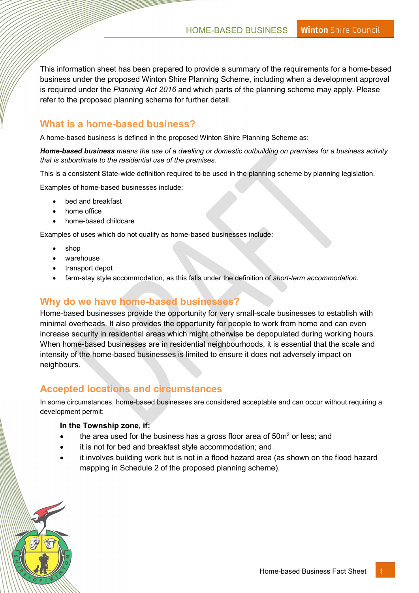This information sheet has been prepared to provide a summary of the requirements for a home-based business under the proposed Winton Shire Planning Scheme, including when a development approval is required under the Planning Act 2016 and which parts of the planning scheme may apply. Please refer to the proposed planning scheme for further detail.

## What is a home-based business?

A home-based business is defined in the proposed Winton Shire Planning Scheme as:

Home-based business means the use of a dwelling or domestic outbuilding on premises for a business activity that is subordinate to the residential use of the premises.

This is a consistent State-wide definition required to be used in the planning scheme by planning legislation.

Examples of home-based businesses include:

- bed and breakfast
- home office
- home-based childcare

Examples of uses which do not qualify as home-based businesses include:

- shop
- warehouse
- transport depot
- farm-stay style accommodation, as this falls under the definition of short-term accommodation.

## Why do we have home-based businesses?

Home-based businesses provide the opportunity for very small-scale businesses to establish with minimal overheads. It also provides the opportunity for people to work from home and can even increase security in residential areas which might otherwise be depopulated during working hours. When home-based businesses are in residential neighbourhoods, it is essential that the scale and intensity of the home-based businesses is limited to ensure it does not adversely impact on neighbours.

### Accepted locations and circumstances

In some circumstances, home-based businesses are considered acceptable and can occur without requiring a development permit:

#### In the Township zone, if:

- the area used for the business has a gross floor area of  $50m^2$  or less; and
- it is not for bed and breakfast style accommodation; and
- it involves building work but is not in a flood hazard area (as shown on the flood hazard mapping in Schedule 2 of the proposed planning scheme).

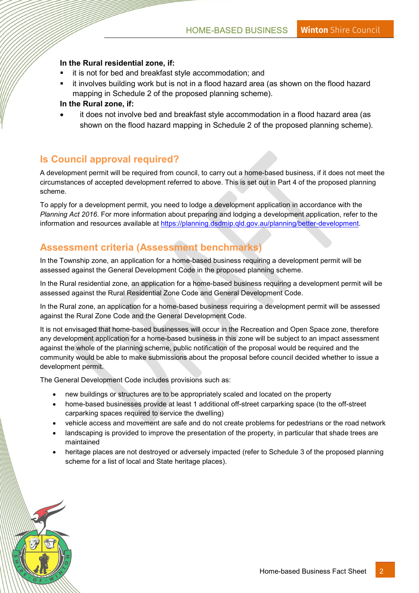#### In the Rural residential zone, if:

- it is not for bed and breakfast style accommodation; and
- it involves building work but is not in a flood hazard area (as shown on the flood hazard mapping in Schedule 2 of the proposed planning scheme).

#### In the Rural zone, if:

 it does not involve bed and breakfast style accommodation in a flood hazard area (as shown on the flood hazard mapping in Schedule 2 of the proposed planning scheme).

### Is Council approval required?

A development permit will be required from council, to carry out a home-based business, if it does not meet the circumstances of accepted development referred to above. This is set out in Part 4 of the proposed planning scheme.

To apply for a development permit, you need to lodge a development application in accordance with the Planning Act 2016. For more information about preparing and lodging a development application, refer to the information and resources available at https://planning.dsdmip.qld.gov.au/planning/better-development.

# Assessment criteria (Assessment benchmarks)

In the Township zone, an application for a home-based business requiring a development permit will be assessed against the General Development Code in the proposed planning scheme.

In the Rural residential zone, an application for a home-based business requiring a development permit will be assessed against the Rural Residential Zone Code and General Development Code.

In the Rural zone, an application for a home-based business requiring a development permit will be assessed against the Rural Zone Code and the General Development Code.

It is not envisaged that home-based businesses will occur in the Recreation and Open Space zone, therefore any development application for a home-based business in this zone will be subject to an impact assessment against the whole of the planning scheme, public notification of the proposal would be required and the community would be able to make submissions about the proposal before council decided whether to issue a development permit.

The General Development Code includes provisions such as:

- new buildings or structures are to be appropriately scaled and located on the property
- home-based businesses provide at least 1 additional off-street carparking space (to the off-street carparking spaces required to service the dwelling)
- vehicle access and movement are safe and do not create problems for pedestrians or the road network
- landscaping is provided to improve the presentation of the property, in particular that shade trees are maintained
- heritage places are not destroyed or adversely impacted (refer to Schedule 3 of the proposed planning scheme for a list of local and State heritage places).